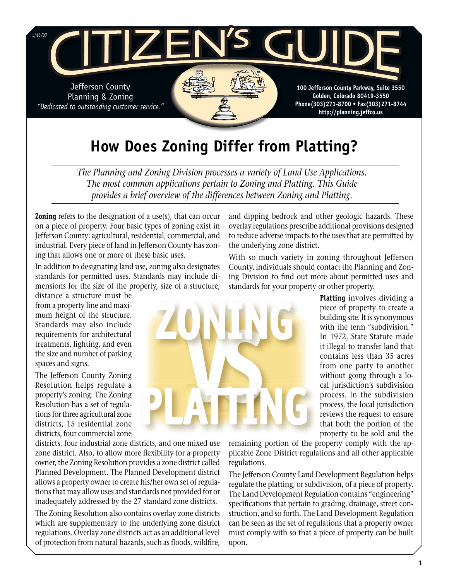

# **How Does Zoning Differ from Platting?**

*The Planning and Zoning Division processes a variety of Land Use Applications. The most common applications pertain to Zoning and Platting. This Guide provides a brief overview of the differences between Zoning and Platting.* 

**Zoning** refers to the designation of a use(s), that can occur on a piece of property. Four basic types of zoning exist in Jefferson County: agricultural, residential, commercial, and industrial. Every piece of land in Jefferson County has zoning that allows one or more of these basic uses.

In addition to designating land use, zoning also designates standards for permitted uses. Standards may include dimensions for the size of the property, size of a structure,

distance a structure must be from a property line and maximum height of the structure. Standards may also include requirements for architectural treatments, lighting, and even the size and number of parking spaces and signs.

The Jefferson County Zoning Resolution helps regulate a property's zoning. The Zoning Resolution has a set of regulations for three agricultural zone districts, 15 residential zone districts, four commercial zone

districts, four industrial zone districts, and one mixed use zone district. Also, to allow more flexibility for a property owner, the Zoning Resolution provides a zone district called Planned Development. The Planned Development district allows a property owner to create his/her own set of regulations that may allow uses and standards not provided for or inadequately addressed by the 27 standard zone districts.

The Zoning Resolution also contains overlay zone districts which are supplementary to the underlying zone district regulations. Overlay zone districts act as an additional level of protection from natural hazards, such as floods, wildfire, and dipping bedrock and other geologic hazards. These overlay regulations prescribe additional provisions designed to reduce adverse impacts to the uses that are permitted by the underlying zone district.

With so much variety in zoning throughout Jefferson County, individuals should contact the Planning and Zoning Division to find out more about permitted uses and standards for your property or other property.

> **Platting** involves dividing a piece of property to create a building site. It is synonymous with the term "subdivision." In 1972, State Statute made it illegal to transfer land that contains less than 35 acres from one party to another without going through a local jurisdiction's subdivision process. In the subdivision process, the local jurisdiction reviews the request to ensure that both the portion of the property to be sold and the

remaining portion of the property comply with the applicable Zone District regulations and all other applicable regulations.

The Jefferson County Land Development Regulation helps regulate the platting, or subdivision, of a piece of property. The Land Development Regulation contains "engineering" specifications that pertain to grading, drainage, street construction, and so forth. The Land Development Regulation can be seen as the set of regulations that a property owner must comply with so that a piece of property can be built upon.

# **VS ZONING**

**PLATTING**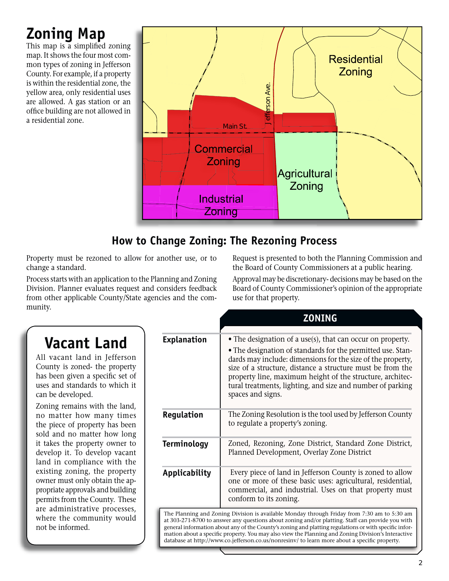# **Zoning Map**

This map is a simplified zoning map. It shows the four most common types of zoning in Jefferson County. For example, if a property is within the residential zone, the yellow area, only residential uses are allowed. A gas station or an office building are not allowed in a residential zone.



## **How to Change Zoning: The Rezoning Process**

Property must be rezoned to allow for another use, or to change a standard.

Process starts with an application to the Planning and Zoning Division. Planner evaluates request and considers feedback from other applicable County/State agencies and the community.

#### Request is presented to both the Planning Commission and the Board of County Commissioners at a public hearing.

# **Vacant Land**

All vacant land in Jefferson County is zoned- the property has been given a specific set of uses and standards to which it can be developed.

Zoning remains with the land, no matter how many times the piece of property has been sold and no matter how long it takes the property owner to develop it. To develop vacant land in compliance with the existing zoning, the property owner must only obtain the appropriate approvals and building permits from the County. These are administrative processes, where the community would not be informed.

|                                                                                      | Jefferson Ave<br>Main St.                           |                                                                                                                                                                                                                                                                                                                                                                                   |                                                                                                                                                                                                                                                                                                                                                                                                                                                                                                                 |
|--------------------------------------------------------------------------------------|-----------------------------------------------------|-----------------------------------------------------------------------------------------------------------------------------------------------------------------------------------------------------------------------------------------------------------------------------------------------------------------------------------------------------------------------------------|-----------------------------------------------------------------------------------------------------------------------------------------------------------------------------------------------------------------------------------------------------------------------------------------------------------------------------------------------------------------------------------------------------------------------------------------------------------------------------------------------------------------|
|                                                                                      | Commercial<br>Zoning<br><b>Industrial</b><br>Zoning | <b>Agricultural</b><br>Zoning                                                                                                                                                                                                                                                                                                                                                     |                                                                                                                                                                                                                                                                                                                                                                                                                                                                                                                 |
| hange Zoning: The Rezoning Process                                                   |                                                     |                                                                                                                                                                                                                                                                                                                                                                                   |                                                                                                                                                                                                                                                                                                                                                                                                                                                                                                                 |
| another use, or to<br>lanning and Zoning<br>considers feedback<br>ncies and the com- | use for that property.                              |                                                                                                                                                                                                                                                                                                                                                                                   | Request is presented to both the Planning Commission an<br>the Board of County Commissioners at a public hearing.<br>Approval may be discretionary-decisions may be based on th<br>Board of County Commissioner's opinion of the appropria                                                                                                                                                                                                                                                                      |
|                                                                                      |                                                     | <b>ZONING</b>                                                                                                                                                                                                                                                                                                                                                                     |                                                                                                                                                                                                                                                                                                                                                                                                                                                                                                                 |
| <b>Explanation</b>                                                                   | spaces and signs.                                   | • The designation of a use(s), that can occur on property.<br>• The designation of standards for the permitted use. Stan-<br>dards may include: dimensions for the size of the property,<br>size of a structure, distance a structure must be from the<br>property line, maximum height of the structure, architec-<br>tural treatments, lighting, and size and number of parking |                                                                                                                                                                                                                                                                                                                                                                                                                                                                                                                 |
| Regulation                                                                           |                                                     | The Zoning Resolution is the tool used by Jefferson County<br>to regulate a property's zoning.                                                                                                                                                                                                                                                                                    |                                                                                                                                                                                                                                                                                                                                                                                                                                                                                                                 |
| <b>Terminology</b>                                                                   |                                                     | Zoned, Rezoning, Zone District, Standard Zone District,<br>Planned Development, Overlay Zone District                                                                                                                                                                                                                                                                             |                                                                                                                                                                                                                                                                                                                                                                                                                                                                                                                 |
| <b>Applicability</b>                                                                 | conform to its zoning.                              | Every piece of land in Jefferson County is zoned to allow<br>one or more of these basic uses: agricultural, residential,<br>commercial, and industrial. Uses on that property must                                                                                                                                                                                                |                                                                                                                                                                                                                                                                                                                                                                                                                                                                                                                 |
|                                                                                      |                                                     |                                                                                                                                                                                                                                                                                                                                                                                   | The Planning and Zoning Division is available Monday through Friday from 7:30 am to 5:30 am<br>at 303-271-8700 to answer any questions about zoning and/or platting. Staff can provide you with<br>general information about any of the County's zoning and platting regulations or with specific infor-<br>mation about a specific property. You may also view the Planning and Zoning Division's Interactive<br>database at http://www.co.jefferson.co.us/nonresinv/ to learn more about a specific property. |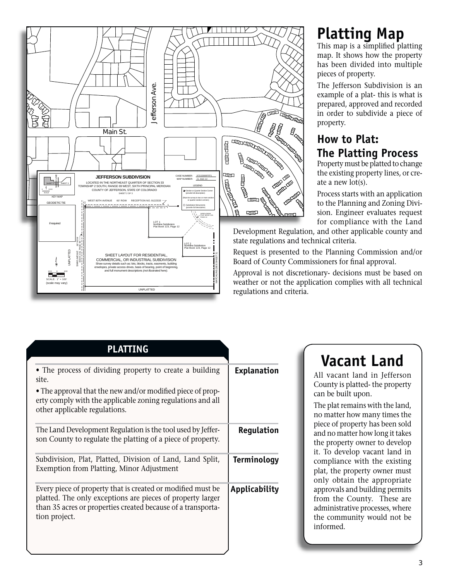

# **Platting Map**

This map is a simplified platting map. It shows how the property has been divided into multiple pieces of property.

The Jefferson Subdivision is an example of a plat- this is what is prepared, approved and recorded in order to subdivide a piece of property.

## **How to Plat: The Platting Process**

Property must be platted to change the existing property lines, or create a new lot(s).

Process starts with an application to the Planning and Zoning Division. Engineer evaluates request for compliance with the Land

Development Regulation, and other applicable county and state regulations and technical criteria.

Request is presented to the Planning Commission and/or Board of County Commissioners for final approval.

Approval is not discretionary- decisions must be based on weather or not the application complies with all technical regulations and criteria.

|                    | <b>PLATTING</b>                                                                                                                                                                                            |  |
|--------------------|------------------------------------------------------------------------------------------------------------------------------------------------------------------------------------------------------------|--|
| <b>Explanation</b> | • The process of dividing property to create a building<br>site.<br>• The approval that the new and/or modified piece of prop-<br>erty comply with the applicable zoning regulations and all               |  |
| Regulation         | other applicable regulations.<br>The Land Development Regulation is the tool used by Jeffer-<br>son County to regulate the platting of a piece of property.                                                |  |
| <b>Terminology</b> | Subdivision, Plat, Platted, Division of Land, Land Split,<br>Exemption from Platting, Minor Adjustment                                                                                                     |  |
| Applicability      | Every piece of property that is created or modified must be<br>platted. The only exceptions are pieces of property larger<br>than 35 acres or properties created because of a transporta-<br>tion project. |  |

# **Vacant Land**

All vacant land in Jefferson County is platted- the property can be built upon.

The plat remains with the land, no matter how many times the piece of property has been sold and no matter how long it takes the property owner to develop it. To develop vacant land in compliance with the existing plat, the property owner must only obtain the appropriate approvals and building permits from the County. These are administrative processes, where the community would not be informed.